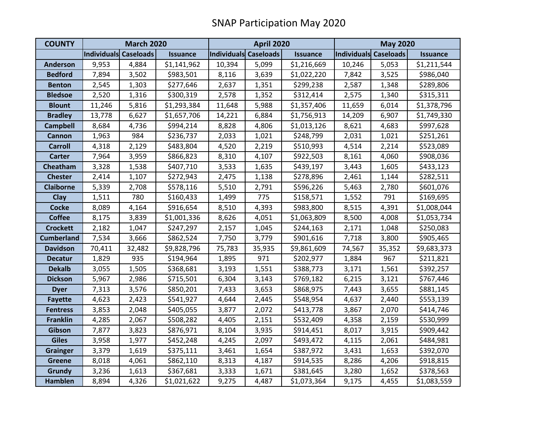| <b>COUNTY</b>     | <b>March 2020</b>     |        |                 | <b>April 2020</b>     |        |                 | <b>May 2020</b>       |        |                 |
|-------------------|-----------------------|--------|-----------------|-----------------------|--------|-----------------|-----------------------|--------|-----------------|
|                   | Individuals Caseloads |        | <b>Issuance</b> | Individuals Caseloads |        | <b>Issuance</b> | Individuals Caseloads |        | <b>Issuance</b> |
| <b>Anderson</b>   | 9,953                 | 4,884  | \$1,141,962     | 10,394                | 5,099  | \$1,216,669     | 10,246                | 5,053  | \$1,211,544     |
| <b>Bedford</b>    | 7,894                 | 3,502  | \$983,501       | 8,116                 | 3,639  | \$1,022,220     | 7,842                 | 3,525  | \$986,040       |
| <b>Benton</b>     | 2,545                 | 1,303  | \$277,646       | 2,637                 | 1,351  | \$299,238       | 2,587                 | 1,348  | \$289,806       |
| <b>Bledsoe</b>    | 2,520                 | 1,316  | \$300,319       | 2,578                 | 1,352  | \$312,414       | 2,575                 | 1,340  | \$315,311       |
| <b>Blount</b>     | 11,246                | 5,816  | \$1,293,384     | 11,648                | 5,988  | \$1,357,406     | 11,659                | 6,014  | \$1,378,796     |
| <b>Bradley</b>    | 13,778                | 6,627  | \$1,657,706     | 14,221                | 6,884  | \$1,756,913     | 14,209                | 6,907  | \$1,749,330     |
| <b>Campbell</b>   | 8,684                 | 4,736  | \$994,214       | 8,828                 | 4,806  | \$1,013,126     | 8,621                 | 4,683  | \$997,628       |
| Cannon            | 1,963                 | 984    | \$236,737       | 2,033                 | 1,021  | \$248,799       | 2,031                 | 1,021  | \$251,261       |
| <b>Carroll</b>    | 4,318                 | 2,129  | \$483,804       | 4,520                 | 2,219  | \$510,993       | 4,514                 | 2,214  | \$523,089       |
| <b>Carter</b>     | 7,964                 | 3,959  | \$866,823       | 8,310                 | 4,107  | \$922,503       | 8,161                 | 4,060  | \$908,036       |
| Cheatham          | 3,328                 | 1,538  | \$407,710       | 3,533                 | 1,635  | \$439,197       | 3,443                 | 1,605  | \$433,123       |
| <b>Chester</b>    | 2,414                 | 1,107  | \$272,943       | 2,475                 | 1,138  | \$278,896       | 2,461                 | 1,144  | \$282,511       |
| <b>Claiborne</b>  | 5,339                 | 2,708  | \$578,116       | 5,510                 | 2,791  | \$596,226       | 5,463                 | 2,780  | \$601,076       |
| <b>Clay</b>       | 1,511                 | 780    | \$160,433       | 1,499                 | 775    | \$158,571       | 1,552                 | 791    | \$169,695       |
| <b>Cocke</b>      | 8,089                 | 4,164  | \$916,654       | 8,510                 | 4,393  | \$983,800       | 8,515                 | 4,391  | \$1,008,044     |
| <b>Coffee</b>     | 8,175                 | 3,839  | \$1,001,336     | 8,626                 | 4,051  | \$1,063,809     | 8,500                 | 4,008  | \$1,053,734     |
| <b>Crockett</b>   | 2,182                 | 1,047  | \$247,297       | 2,157                 | 1,045  | \$244,163       | 2,171                 | 1,048  | \$250,083       |
| <b>Cumberland</b> | 7,534                 | 3,666  | \$862,524       | 7,750                 | 3,779  | \$901,616       | 7,718                 | 3,800  | \$905,465       |
| <b>Davidson</b>   | 70,411                | 32,482 | \$9,828,796     | 75,783                | 35,935 | \$9,861,609     | 74,567                | 35,352 | \$9,683,373     |
| <b>Decatur</b>    | 1,829                 | 935    | \$194,964       | 1,895                 | 971    | \$202,977       | 1,884                 | 967    | \$211,821       |
| <b>Dekalb</b>     | 3,055                 | 1,505  | \$368,681       | 3,193                 | 1,551  | \$388,773       | 3,171                 | 1,561  | \$392,257       |
| <b>Dickson</b>    | 5,967                 | 2,986  | \$715,501       | 6,304                 | 3,143  | \$769,182       | 6,215                 | 3,121  | \$767,446       |
| <b>Dyer</b>       | 7,313                 | 3,576  | \$850,201       | 7,433                 | 3,653  | \$868,975       | 7,443                 | 3,655  | \$881,145       |
| <b>Fayette</b>    | 4,623                 | 2,423  | \$541,927       | 4,644                 | 2,445  | \$548,954       | 4,637                 | 2,440  | \$553,139       |
| <b>Fentress</b>   | 3,853                 | 2,048  | \$405,055       | 3,877                 | 2,072  | \$413,778       | 3,867                 | 2,070  | \$414,746       |
| <b>Franklin</b>   | 4,285                 | 2,067  | \$508,282       | 4,405                 | 2,151  | \$532,409       | 4,358                 | 2,159  | \$530,999       |
| Gibson            | 7,877                 | 3,823  | \$876,971       | 8,104                 | 3,935  | \$914,451       | 8,017                 | 3,915  | \$909,442       |
| <b>Giles</b>      | 3,958                 | 1,977  | \$452,248       | 4,245                 | 2,097  | \$493,472       | 4,115                 | 2,061  | \$484,981       |
| <b>Grainger</b>   | 3,379                 | 1,619  | \$375,111       | 3,461                 | 1,654  | \$387,972       | 3,431                 | 1,653  | \$392,070       |
| <b>Greene</b>     | 8,018                 | 4,061  | \$862,110       | 8,313                 | 4,187  | \$914,535       | 8,286                 | 4,206  | \$918,815       |
| <b>Grundy</b>     | 3,236                 | 1,613  | \$367,681       | 3,333                 | 1,671  | \$381,645       | 3,280                 | 1,652  | \$378,563       |
| <b>Hamblen</b>    | 8,894                 | 4,326  | \$1,021,622     | 9,275                 | 4,487  | \$1,073,364     | 9,175                 | 4,455  | \$1,083,559     |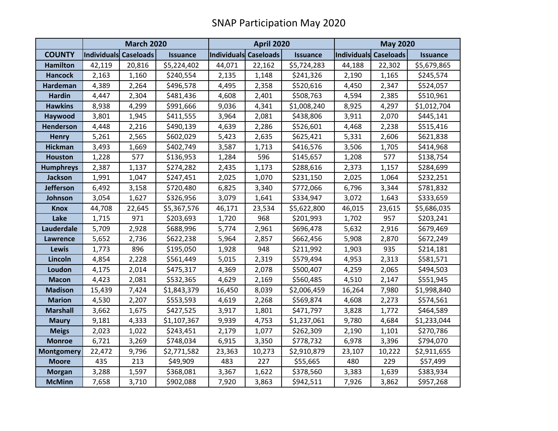|                   | <b>March 2020</b>     |        |                 | <b>April 2020</b>     |        |                 | <b>May 2020</b>       |        |                 |
|-------------------|-----------------------|--------|-----------------|-----------------------|--------|-----------------|-----------------------|--------|-----------------|
| <b>COUNTY</b>     | Individuals Caseloads |        | <b>Issuance</b> | Individuals Caseloads |        | <b>Issuance</b> | Individuals Caseloads |        | <b>Issuance</b> |
| <b>Hamilton</b>   | 42,119                | 20,816 | \$5,224,402     | 44,071                | 22,162 | \$5,724,283     | 44,188                | 22,302 | \$5,679,865     |
| <b>Hancock</b>    | 2,163                 | 1,160  | \$240,554       | 2,135                 | 1,148  | \$241,326       | 2,190                 | 1,165  | \$245,574       |
| <b>Hardeman</b>   | 4,389                 | 2,264  | \$496,578       | 4,495                 | 2,358  | \$520,616       | 4,450                 | 2,347  | \$524,057       |
| <b>Hardin</b>     | 4,447                 | 2,304  | \$481,436       | 4,608                 | 2,401  | \$508,763       | 4,594                 | 2,385  | \$510,961       |
| <b>Hawkins</b>    | 8,938                 | 4,299  | \$991,666       | 9,036                 | 4,341  | \$1,008,240     | 8,925                 | 4,297  | \$1,012,704     |
| Haywood           | 3,801                 | 1,945  | \$411,555       | 3,964                 | 2,081  | \$438,806       | 3,911                 | 2,070  | \$445,141       |
| Henderson         | 4,448                 | 2,216  | \$490,139       | 4,639                 | 2,286  | \$526,601       | 4,468                 | 2,238  | \$515,416       |
| <b>Henry</b>      | 5,261                 | 2,565  | \$602,029       | 5,423                 | 2,635  | \$625,421       | 5,331                 | 2,606  | \$621,838       |
| <b>Hickman</b>    | 3,493                 | 1,669  | \$402,749       | 3,587                 | 1,713  | \$416,576       | 3,506                 | 1,705  | \$414,968       |
| <b>Houston</b>    | 1,228                 | 577    | \$136,953       | 1,284                 | 596    | \$145,657       | 1,208                 | 577    | \$138,754       |
| <b>Humphreys</b>  | 2,387                 | 1,137  | \$274,282       | 2,435                 | 1,173  | \$288,616       | 2,373                 | 1,157  | \$284,699       |
| Jackson           | 1,991                 | 1,047  | \$247,451       | 2,025                 | 1,070  | \$231,150       | 2,025                 | 1,064  | \$232,251       |
| <b>Jefferson</b>  | 6,492                 | 3,158  | \$720,480       | 6,825                 | 3,340  | \$772,066       | 6,796                 | 3,344  | \$781,832       |
| Johnson           | 3,054                 | 1,627  | \$326,956       | 3,079                 | 1,641  | \$334,947       | 3,072                 | 1,643  | \$333,659       |
| <b>Knox</b>       | 44,708                | 22,645 | \$5,367,576     | 46,171                | 23,534 | \$5,622,800     | 46,015                | 23,615 | \$5,686,035     |
| Lake              | 1,715                 | 971    | \$203,693       | 1,720                 | 968    | \$201,993       | 1,702                 | 957    | \$203,241       |
| Lauderdale        | 5,709                 | 2,928  | \$688,996       | 5,774                 | 2,961  | \$696,478       | 5,632                 | 2,916  | \$679,469       |
| <b>Lawrence</b>   | 5,652                 | 2,736  | \$622,238       | 5,964                 | 2,857  | \$662,456       | 5,908                 | 2,870  | \$672,249       |
| Lewis             | 1,773                 | 896    | \$195,050       | 1,928                 | 948    | \$211,992       | 1,903                 | 935    | \$214,181       |
| Lincoln           | 4,854                 | 2,228  | \$561,449       | 5,015                 | 2,319  | \$579,494       | 4,953                 | 2,313  | \$581,571       |
| Loudon            | 4,175                 | 2,014  | \$475,317       | 4,369                 | 2,078  | \$500,407       | 4,259                 | 2,065  | \$494,503       |
| <b>Macon</b>      | 4,423                 | 2,081  | \$532,365       | 4,629                 | 2,169  | \$560,485       | 4,510                 | 2,147  | \$551,945       |
| <b>Madison</b>    | 15,439                | 7,424  | \$1,843,379     | 16,450                | 8,039  | \$2,006,459     | 16,264                | 7,980  | \$1,998,840     |
| <b>Marion</b>     | 4,530                 | 2,207  | \$553,593       | 4,619                 | 2,268  | \$569,874       | 4,608                 | 2,273  | \$574,561       |
| <b>Marshall</b>   | 3,662                 | 1,675  | \$427,525       | 3,917                 | 1,801  | \$471,797       | 3,828                 | 1,772  | \$464,589       |
| <b>Maury</b>      | 9,181                 | 4,333  | \$1,107,367     | 9,939                 | 4,753  | \$1,237,061     | 9,780                 | 4,684  | \$1,233,044     |
| <b>Meigs</b>      | 2,023                 | 1,022  | \$243,451       | 2,179                 | 1,077  | \$262,309       | 2,190                 | 1,101  | \$270,786       |
| <b>Monroe</b>     | 6,721                 | 3,269  | \$748,034       | 6,915                 | 3,350  | \$778,732       | 6,978                 | 3,396  | \$794,070       |
| <b>Montgomery</b> | 22,472                | 9,796  | \$2,771,582     | 23,363                | 10,273 | \$2,910,879     | 23,107                | 10,222 | \$2,911,655     |
| <b>Moore</b>      | 435                   | 213    | \$49,909        | 483                   | 227    | \$55,665        | 480                   | 229    | \$57,499        |
| <b>Morgan</b>     | 3,288                 | 1,597  | \$368,081       | 3,367                 | 1,622  | \$378,560       | 3,383                 | 1,639  | \$383,934       |
| <b>McMinn</b>     | 7,658                 | 3,710  | \$902,088       | 7,920                 | 3,863  | \$942,511       | 7,926                 | 3,862  | \$957,268       |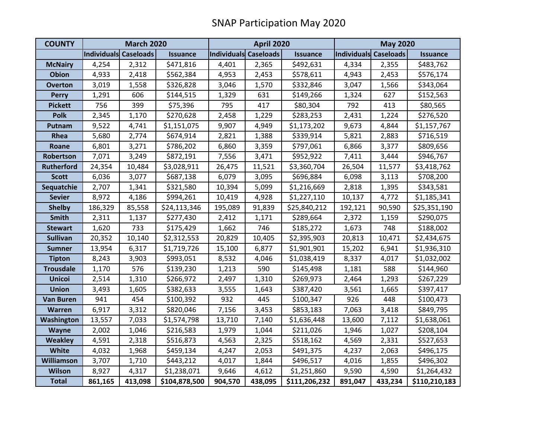| <b>COUNTY</b>     | <b>March 2020</b>     |         |                 | <b>April 2020</b>     |         |                 | <b>May 2020</b>       |         |                 |
|-------------------|-----------------------|---------|-----------------|-----------------------|---------|-----------------|-----------------------|---------|-----------------|
|                   | Individuals Caseloads |         | <b>Issuance</b> | Individuals Caseloads |         | <b>Issuance</b> | Individuals Caseloads |         | <b>Issuance</b> |
| <b>McNairy</b>    | 4,254                 | 2,312   | \$471,816       | 4,401                 | 2,365   | \$492,631       | 4,334                 | 2,355   | \$483,762       |
| <b>Obion</b>      | 4,933                 | 2,418   | \$562,384       | 4,953                 | 2,453   | \$578,611       | 4,943                 | 2,453   | \$576,174       |
| <b>Overton</b>    | 3,019                 | 1,558   | \$326,828       | 3,046                 | 1,570   | \$332,846       | 3,047                 | 1,566   | \$343,064       |
| <b>Perry</b>      | 1,291                 | 606     | \$144,515       | 1,329                 | 631     | \$149,266       | 1,324                 | 627     | \$152,563       |
| <b>Pickett</b>    | 756                   | 399     | \$75,396        | 795                   | 417     | \$80,304        | 792                   | 413     | \$80,565        |
| <b>Polk</b>       | 2,345                 | 1,170   | \$270,628       | 2,458                 | 1,229   | \$283,253       | 2,431                 | 1,224   | \$276,520       |
| Putnam            | 9,522                 | 4,741   | \$1,151,075     | 9,907                 | 4,949   | \$1,173,202     | 9,673                 | 4,844   | \$1,157,767     |
| Rhea              | 5,680                 | 2,774   | \$674,914       | 2,821                 | 1,388   | \$339,914       | 5,821                 | 2,883   | \$716,519       |
| Roane             | 6,801                 | 3,271   | \$786,202       | 6,860                 | 3,359   | \$797,061       | 6,866                 | 3,377   | \$809,656       |
| Robertson         | 7,071                 | 3,249   | \$872,191       | 7,556                 | 3,471   | \$952,922       | 7,411                 | 3,444   | \$946,767       |
| <b>Rutherford</b> | 24,354                | 10,484  | \$3,028,911     | 26,475                | 11,521  | \$3,360,704     | 26,504                | 11,577  | \$3,418,762     |
| <b>Scott</b>      | 6,036                 | 3,077   | \$687,138       | 6,079                 | 3,095   | \$696,884       | 6,098                 | 3,113   | \$708,200       |
| Sequatchie        | 2,707                 | 1,341   | \$321,580       | 10,394                | 5,099   | \$1,216,669     | 2,818                 | 1,395   | \$343,581       |
| <b>Sevier</b>     | 8,972                 | 4,186   | \$994,261       | 10,419                | 4,928   | \$1,227,110     | 10,137                | 4,772   | \$1,185,341     |
| <b>Shelby</b>     | 186,329               | 85,558  | \$24,113,346    | 195,089               | 91,839  | \$25,840,212    | 192,121               | 90,590  | \$25,351,190    |
| <b>Smith</b>      | 2,311                 | 1,137   | \$277,430       | 2,412                 | 1,171   | \$289,664       | 2,372                 | 1,159   | \$290,075       |
| <b>Stewart</b>    | 1,620                 | 733     | \$175,429       | 1,662                 | 746     | \$185,272       | 1,673                 | 748     | \$188,002       |
| <b>Sullivan</b>   | 20,352                | 10,140  | \$2,312,553     | 20,829                | 10,405  | \$2,395,903     | 20,813                | 10,471  | \$2,434,675     |
| <b>Sumner</b>     | 13,954                | 6,317   | \$1,719,726     | 15,100                | 6,877   | \$1,901,901     | 15,202                | 6,941   | \$1,936,310     |
| <b>Tipton</b>     | 8,243                 | 3,903   | \$993,051       | 8,532                 | 4,046   | \$1,038,419     | 8,337                 | 4,017   | \$1,032,002     |
| <b>Trousdale</b>  | 1,170                 | 576     | \$139,230       | 1,213                 | 590     | \$145,498       | 1,181                 | 588     | \$144,960       |
| <b>Unicoi</b>     | 2,514                 | 1,310   | \$266,972       | 2,497                 | 1,310   | \$269,973       | 2,464                 | 1,293   | \$267,229       |
| <b>Union</b>      | 3,493                 | 1,605   | \$382,633       | 3,555                 | 1,643   | \$387,420       | 3,561                 | 1,665   | \$397,417       |
| <b>Van Buren</b>  | 941                   | 454     | \$100,392       | 932                   | 445     | \$100,347       | 926                   | 448     | \$100,473       |
| Warren            | 6,917                 | 3,312   | \$820,046       | 7,156                 | 3,453   | \$853,183       | 7,063                 | 3,418   | \$849,795       |
| Washington        | 13,557                | 7,033   | \$1,574,798     | 13,710                | 7,140   | \$1,636,448     | 13,600                | 7,112   | \$1,638,061     |
| <b>Wayne</b>      | 2,002                 | 1,046   | \$216,583       | 1,979                 | 1,044   | \$211,026       | 1,946                 | 1,027   | \$208,104       |
| <b>Weakley</b>    | 4,591                 | 2,318   | \$516,873       | 4,563                 | 2,325   | \$518,162       | 4,569                 | 2,331   | \$527,653       |
| <b>White</b>      | 4,032                 | 1,968   | \$459,134       | 4,247                 | 2,053   | \$491,375       | 4,237                 | 2,063   | \$496,175       |
| <b>Williamson</b> | 3,707                 | 1,710   | \$443,212       | 4,017                 | 1,844   | \$496,517       | 4,016                 | 1,855   | \$496,302       |
| <b>Wilson</b>     | 8,927                 | 4,317   | \$1,238,071     | 9,646                 | 4,612   | \$1,251,860     | 9,590                 | 4,590   | \$1,264,432     |
| <b>Total</b>      | 861,165               | 413,098 | \$104,878,500   | 904,570               | 438,095 | \$111,206,232   | 891,047               | 433,234 | \$110,210,183   |